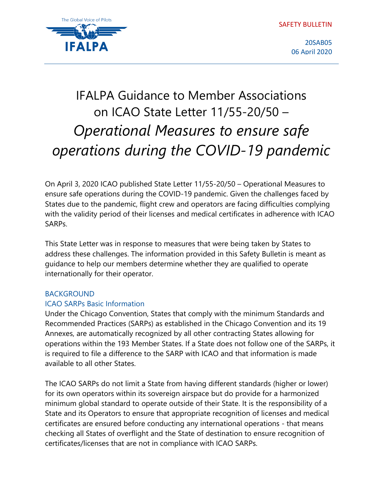SAFETY BULLETIN



20SAB05 06 April 2020

# IFALPA Guidance to Member Associations on ICAO State Letter 11/55-20/50 – *Operational Measures to ensure safe operations during the COVID-19 pandemic*

On April 3, 2020 ICAO published State Letter 11/55-20/50 – Operational Measures to ensure safe operations during the COVID-19 pandemic. Given the challenges faced by States due to the pandemic, flight crew and operators are facing difficulties complying with the validity period of their licenses and medical certificates in adherence with ICAO SARPs.

This State Letter was in response to measures that were being taken by States to address these challenges. The information provided in this Safety Bulletin is meant as guidance to help our members determine whether they are qualified to operate internationally for their operator.

## BACKGROUND

## ICAO SARPs Basic Information

Under the Chicago Convention, States that comply with the minimum Standards and Recommended Practices (SARPs) as established in the Chicago Convention and its 19 Annexes, are automatically recognized by all other contracting States allowing for operations within the 193 Member States. If a State does not follow one of the SARPs, it is required to file a difference to the SARP with ICAO and that information is made available to all other States.

The ICAO SARPs do not limit a State from having different standards (higher or lower) for its own operators within its sovereign airspace but do provide for a harmonized minimum global standard to operate outside of their State. It is the responsibility of a State and its Operators to ensure that appropriate recognition of licenses and medical certificates are ensured before conducting any international operations - that means checking all States of overflight and the State of destination to ensure recognition of certificates/licenses that are not in compliance with ICAO SARPs.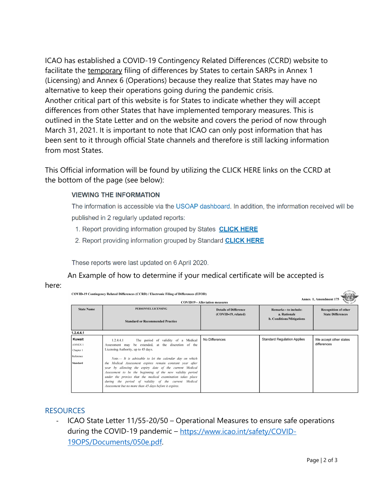ICAO has established a COVID-19 Contingency Related Differences (CCRD) website to facilitate the temporary filing of differences by States to certain SARPs in Annex 1 (Licensing) and Annex 6 (Operations) because they realize that States may have no alternative to keep their operations going during the pandemic crisis. Another critical part of this website is for States to indicate whether they will accept differences from other States that have implemented temporary measures. This is outlined in the State Letter and on the website and covers the period of now through March 31, 2021. It is important to note that ICAO can only post information that has been sent to it through official State channels and therefore is still lacking information from most States.

This Official information will be found by utilizing the CLICK HERE links on the CCRD at the bottom of the page (see below):

#### **VIEWING THE INFORMATION**

The information is accessible via the USOAP dashboard. In addition, the information received will be published in 2 regularly updated reports:

- 1. Report providing information grouped by States **CLICK HERE**
- 2. Report providing information grouped by Standard **CLICK HERE**

These reports were last updated on 6 April 2020.

An Example of how to determine if your medical certificate will be accepted is here:

| COVID-19 Contingency Related Differences (CCRD) / Electronic Filing of Differences (EFOD)<br>Annex 1, Amendment 175<br><b>COVID19 - Alleviation measures</b> |                                                                                                                                                                                                                                                                                                                                                                                                                                                                                                                                                                                       |                                                     |                                                                           |                                                         |
|--------------------------------------------------------------------------------------------------------------------------------------------------------------|---------------------------------------------------------------------------------------------------------------------------------------------------------------------------------------------------------------------------------------------------------------------------------------------------------------------------------------------------------------------------------------------------------------------------------------------------------------------------------------------------------------------------------------------------------------------------------------|-----------------------------------------------------|---------------------------------------------------------------------------|---------------------------------------------------------|
| <b>State Name</b>                                                                                                                                            | PERSONNEL LICENSING<br><b>Standard or Recommended Practice</b>                                                                                                                                                                                                                                                                                                                                                                                                                                                                                                                        | <b>Details of Difference</b><br>(COVID-19, related) | Remarks - to include:<br>a. Rationale<br><b>b.</b> Conditions/Mitigations | <b>Recognition of other</b><br><b>State Differences</b> |
| 1.2.4.4.1                                                                                                                                                    |                                                                                                                                                                                                                                                                                                                                                                                                                                                                                                                                                                                       |                                                     |                                                                           |                                                         |
| Kuwait<br><b>ANNEX 1</b><br>Chapter 1<br>Reference<br><b>Standard</b>                                                                                        | 1.2.4.4.1<br>The period of validity of a Medical<br>Assessment may be extended, at the discretion of the<br>Licensing Authority, up to 45 days.<br>Note. $-$ It is advisable to let the calendar day on which<br>Medical Assessment expires remain constant year after<br>the<br>year by allowing the expiry date of the current Medical<br>Assessment to be the beginning of the new validity period<br>under the proviso that the medical examination takes place<br>during the period of validity of the current Medical<br>Assessment but no more than 45 days before it expires. | No Differences                                      | <b>Standard Regulation Applies</b>                                        | We accept other states<br>differences                   |

### RESOURCES

ICAO State Letter 11/55-20/50 – Operational Measures to ensure safe operations during the COVID-19 pandemic – [https://www.icao.int/safety/COVID-](https://www.icao.int/safety/COVID-19OPS/Documents/050e.pdf)[19OPS/Documents/050e.pdf.](https://www.icao.int/safety/COVID-19OPS/Documents/050e.pdf)